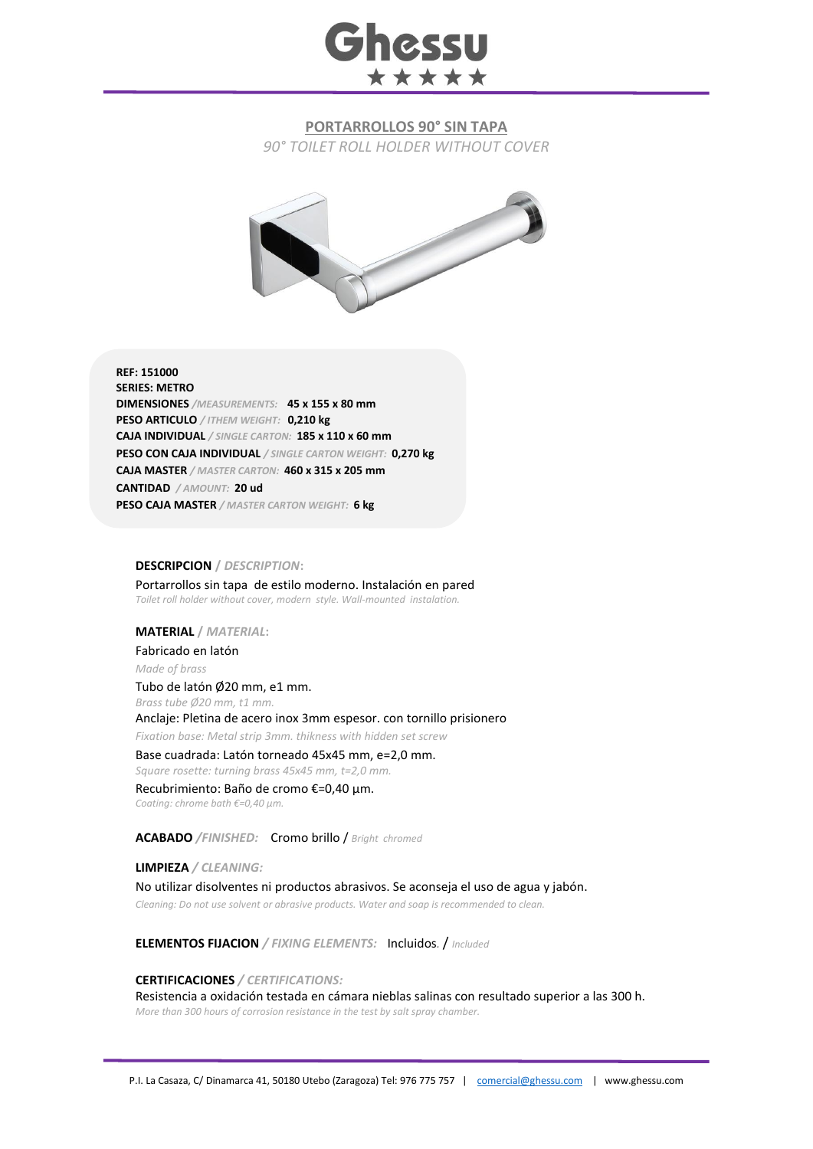

## **PORTARROLLOS 90° SIN TAPA**

*90° TOILET ROLL HOLDER WITHOUT COVER*



**REF: 151000 SERIES: METRO DIMENSIONES** */MEASUREMENTS:* **45 x 155 x 80 mm PESO ARTICULO** */ ITHEM WEIGHT:* **0,210 kg CAJA INDIVIDUAL** */ SINGLE CARTON:* **185 x 110 x 60 mm PESO CON CAJA INDIVIDUAL** */ SINGLE CARTON WEIGHT:* **0,270 kg CAJA MASTER** */ MASTER CARTON:* **460 x 315 x 205 mm CANTIDAD** */ AMOUNT:* **20 ud PESO CAJA MASTER** */ MASTER CARTON WEIGHT:* **6 kg**

#### **DESCRIPCION /** *DESCRIPTION***:**

Portarrollos sin tapa de estilo moderno. Instalación en pared *Toilet roll holder without cover, modern style. Wall-mounted instalation.*

## **MATERIAL /** *MATERIAL***:**

Fabricado en latón

*Made of brass*

Tubo de latón Ø20 mm, e1 mm.

*Brass tube Ø20 mm, t1 mm.* 

Anclaje: Pletina de acero inox 3mm espesor. con tornillo prisionero

*Fixation base: Metal strip 3mm. thikness with hidden set screw* Base cuadrada: Latón torneado 45x45 mm, e=2,0 mm.

*Square rosette: turning brass 45x45 mm, t=2,0 mm.*

Recubrimiento: Baño de cromo €=0,40 μm.

*Coating: chrome bath €=0,40 μm.*

**ACABADO** */FINISHED:*Cromo brillo / *Bright chromed*

**LIMPIEZA** */ CLEANING:* No utilizar disolventes ni productos abrasivos. Se aconseja el uso de agua y jabón.

*Cleaning: Do not use solvent or abrasive products. Water and soap is recommended to clean.*

**ELEMENTOS FIJACION** */ FIXING ELEMENTS:* Incluidos*.* / *Included*

### **CERTIFICACIONES** */ CERTIFICATIONS:*

Resistencia a oxidación testada en cámara nieblas salinas con resultado superior a las 300 h. *More than 300 hours of corrosion resistance in the test by salt spray chamber.*